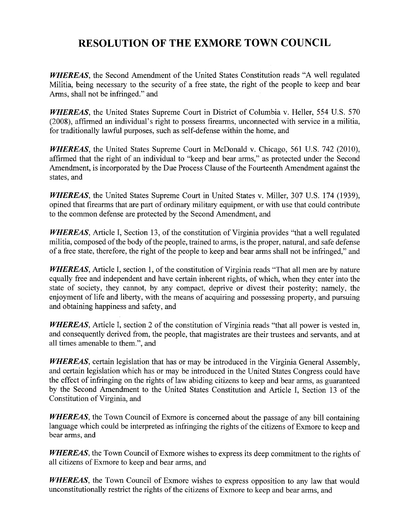## RESOLUTION OF THE EXMORE TOWN COUNCIL

WHEREAS, the Second Amendment of the United States Constitution reads "A well regulated Militia, being necessary to the security of a free state, the right of the people to keep and bear Arms, shall not be infringed." and

WHEREAS, the United States Supreme Court in District of Columbia v. Heller, 554 U.S. 570 (2008), affirmed an individual's right to possess firearms, unconnected with service in a militia, for traditionally lawful purposes, such as self-defense within the home, and

WHEREAS, the United States Supreme Court in McDonald v. Chicago, 561 U.S. 742 (2010), affirmed that the right of an individual to "keep and bear arms," as protected under the Second Amendment, is incorporated by the Due Process Clause of the Fourteenth Amendment against the states, and

WHEREAS, the United States Supreme Court in United States v. Miller, 307 U.S. 174 (1939), opined that firearms that are part of ordinary military equipment, or with use that could contribute to the common defense are protected by the Second Amendment, and

WHEREAS, Article I, Section 13, of the constitution of Virginia provides "that a well regulated militia, composed of the body of the people, trained to arms, is the proper, natural, and safe defense of a free state, therefore, the right of the people to keep and bear arms shall not be infringed," and

WHEREAS, Article I, section 1, of the constitution of Virginia reads "That all men are by nature equally free and independent and have certain inherent rights, of which, when they enter into the state of society, they cannot, by any compact, deprive or divest their posterity; namely, the enjoyment of life and liberty, with the means of acquiring and possessing property, and pursuing and obtaining happiness and safety, and

WHEREAS, Article I, section 2 of the constitution of Virginia reads "that all power is vested in, and consequently derived from, the people, that magistrates are their trustees and servants, and at all times amenable to them.", and

WHEREAS, certain legislation that has or may be introduced in the Virginia General Assembly, and certain legislation which has or may be introduced in the United States Congress could have the effect of infringing on the rights of law abiding citizens to keep and bear arms, as guaranteed by the Second Amendment to the United States Constitution and Article I, Section 13 of the Constitution of Virginia, and

WHEREAS, the Town Council of Exmore is concerned about the passage of any bill containing language which could be interpreted as infringing the rights of the citizens of Exmore to keep and bear arms, and

WHEREAS, the Town Council of Exmore wishes to express its deep commitment to the rights of all citizens of Exmore to keep and bear arms, and

WHEREAS, the Town Council of Exmore wishes to express opposition to any law that would unconstitutionally restrict the rights of the citizens of Exmore to keep and bear arms, and